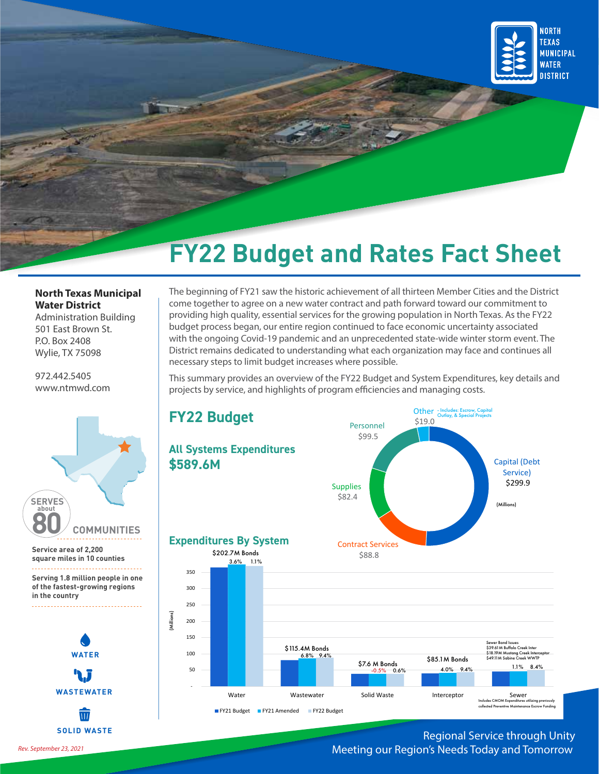

## **North Texas Municipal Water District**

Administration Building 501 East Brown St. P.O. Box 2408 Wylie, TX 75098

972.442.5405 www.ntmwd.com



**in the country** 



 $\overline{III}$ **SOLID WASTE** The beginning of FY21 saw the historic achievement of all thirteen Member Cities and the District come together to agree on a new water contract and path forward toward our commitment to providing high quality, essential services for the growing population in North Texas. As the FY22 budget process began, our entire region continued to face economic uncertainty associated with the ongoing Covid-19 pandemic and an unprecedented state-wide winter storm event. The District remains dedicated to understanding what each organization may face and continues all necessary steps to limit budget increases where possible.

This summary provides an overview of the FY22 Budget and System Expenditures, key details and projects by service, and highlights of program efficiencies and managing costs.



## Regional Service through Unity Meeting our Region's Needs Today and Tomorrow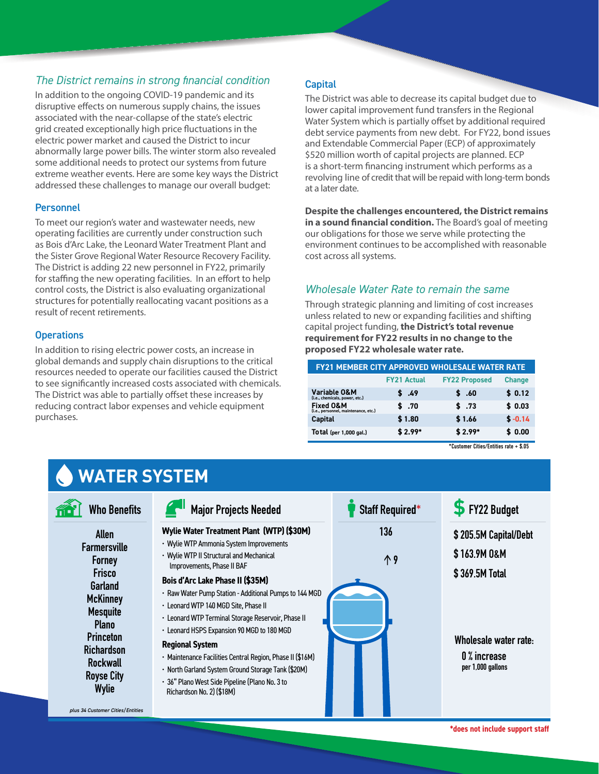## *The District remains in strong financial condition*

In addition to the ongoing COVID-19 pandemic and its disruptive effects on numerous supply chains, the issues associated with the near-collapse of the state's electric grid created exceptionally high price fluctuations in the electric power market and caused the District to incur abnormally large power bills. The winter storm also revealed some additional needs to protect our systems from future extreme weather events. Here are some key ways the District addressed these challenges to manage our overall budget:

## Personnel

To meet our region's water and wastewater needs, new operating facilities are currently under construction such as Bois d'Arc Lake, the Leonard Water Treatment Plant and the Sister Grove Regional Water Resource Recovery Facility. The District is adding 22 new personnel in FY22, primarily for staffing the new operating facilities. In an effort to help control costs, the District is also evaluating organizational structures for potentially reallocating vacant positions as a result of recent retirements.

## **Operations**

In addition to rising electric power costs, an increase in global demands and supply chain disruptions to the critical resources needed to operate our facilities caused the District to see significantly increased costs associated with chemicals. The District was able to partially offset these increases by reducing contract labor expenses and vehicle equipment purchases.

## **Capital**

The District was able to decrease its capital budget due to lower capital improvement fund transfers in the Regional Water System which is partially offset by additional required debt service payments from new debt. For FY22, bond issues and Extendable Commercial Paper (ECP) of approximately \$520 million worth of capital projects are planned. ECP is a short-term financing instrument which performs as a revolving line of credit that will be repaid with long-term bonds at a later date.

**Despite the challenges encountered, the District remains in a sound financial condition.** The Board's goal of meeting our obligations for those we serve while protecting the environment continues to be accomplished with reasonable cost across all systems.

## *Wholesale Water Rate to remain the same*

Through strategic planning and limiting of cost increases unless related to new or expanding facilities and shifting capital project funding, **the District's total revenue requirement for FY22 results in no change to the proposed FY22 wholesale water rate.** 

| <b>FY21 MEMBER CITY APPROVED WHOLESALE WATER RATE</b>        |                    |                      |               |
|--------------------------------------------------------------|--------------------|----------------------|---------------|
|                                                              | <b>FY21 Actual</b> | <b>FY22 Proposed</b> | <b>Change</b> |
| Variable O&M<br>(i.e., chemicals, power, etc.)               | \$49               | \$.60                | \$0.12        |
| <b>Fixed O&amp;M</b><br>(i.e., personnel, maintenance, etc.) | \$.70              | \$ .73               | \$0.03        |
| <b>Capital</b>                                               | \$1.80             | \$1.66               | $$ -0.14$     |
| <b>Total</b> (per 1,000 gal.)                                | $$2.99*$           | $$2.99*$             | \$0.00        |

\*Customer Cities/Entities rate + \$.05



**\*does not include support staff**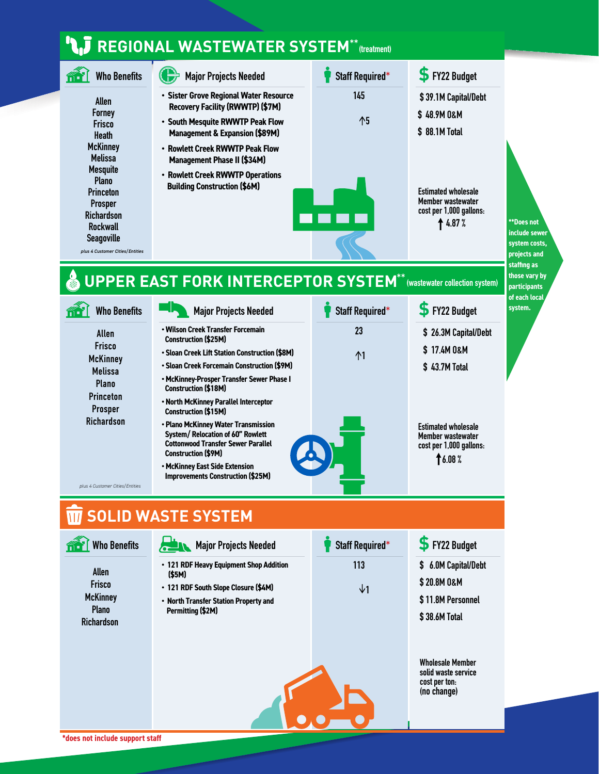# **REGIONAL WASTEWATER SYSTEM (treatment) \*\***